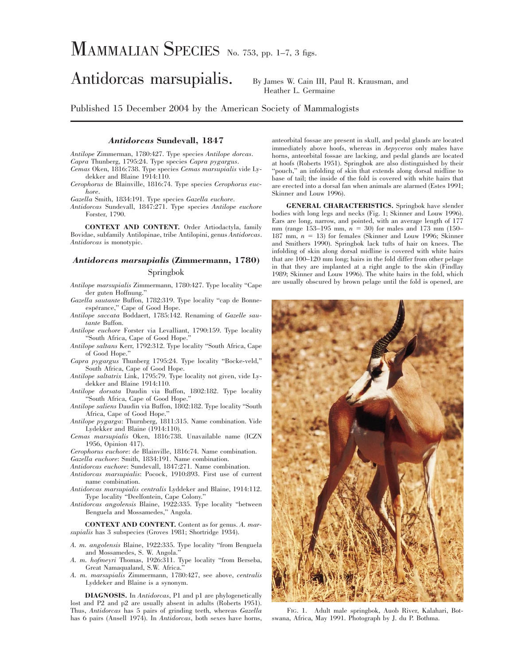# MAMMALIAN SPECIES No. 753, pp. 1–7, 3 figs.

# Antidorcas marsupialis. By James W. Cain III, Paul R. Krausman, and

Heather L. Germaine

Published 15 December 2004 by the American Society of Mammalogists

#### *Antidorcas* **Sundevall, 1847**

*Antilope* Zimmerman, 1780:427. Type species *Antilope dorcas*. *Capra* Thunberg, 1795:24. Type species *Capra pygargus*.

*Cemas* Oken, 1816:738. Type species *Cemas marsupialis* vide Lydekker and Blaine 1914:110.

*Cerophorus* de Blainville, 1816:74. Type species *Cerophorus euchore*.

*Gazella* Smith, 1834:191. Type species *Gazella euchore*.

*Antidorcas* Sundevall, 1847:271. Type species *Antilope euchore* Forster, 1790.

**CONTEXT AND CONTENT.** Order Artiodactyla, family Bovidae, subfamily Antilopinae, tribe Antilopini, genus *Antidorcas*. *Antidorcas* is monotypic.

### *Antidorcas marsupialis* **(Zimmermann, 1780)**

## Springbok

*Antilope marsupialis* Zimmermann, 1780:427. Type locality ''Cape der guten Hoffnung.''

*Gazella sautante* Buffon, 1782:319. Type locality ''cap de Bonneespérance," Cape of Good Hope.

*Antilope saccata* Boddaert, 1785:142. Renaming of *Gazelle sautante* Buffon.

*Antilope euchore* Forster via Levalliant, 1790:159. Type locality ''South Africa, Cape of Good Hope.''

*Antilope saltans* Kerr, 1792:312. Type locality ''South Africa, Cape of Good Hope.''

*Capra pygargus* Thunberg 1795:24. Type locality ''Bocke-veld,'' South Africa, Cape of Good Hope.

*Antilope saltatrix* Link, 1795:79. Type locality not given, vide Lydekker and Blaine 1914:110.

*Antilope dorsata* Daudin via Buffon, 1802:182. Type locality South Africa, Cape of Good Hope.

*Antilope saliens* Daudin via Buffon, 1802:182. Type locality ''South Africa, Cape of Good Hope.''

*Antilope pygarga*: Thurnberg, 1811:315. Name combination. Vide Lydekker and Blaine (1914:110).

*Cemas marsupialis* Oken, 1816:738. Unavailable name (ICZN 1956, Opinion 417).

*Cerophorus euchore*: de Blainville, 1816:74. Name combination.

*Gazella euchore*: Smith, 1834:191. Name combination.

*Antidorcas euchore*: Sundevall, 1847:271. Name combination.

*Antidorcas marsupialis*: Pocock, 1910:893. First use of current name combination.

*Antidorcas marsupialis centralis* Lyddeker and Blaine, 1914:112. Type locality ''Deelfontein, Cape Colony.''

*Antidorcas angolensis* Blaine, 1922:335. Type locality ''between Benguela and Mossamedes,'' Angola.

**CONTEXT AND CONTENT.** Content as for genus. *A. marsupialis* has 3 subspecies (Groves 1981; Shortridge 1934).

*A. m. angolensis* Blaine, 1922:335. Type locality ''from Benguela and Mossamedes, S. W. Angola.''

*A. m. hofmeyri* Thomas, 1926:311. Type locality ''from Berseba, Great Namaqualand, S.W. Africa.''

*A. m. marsupialis* Zimmermann, 1780:427, see above, *centralis* Lyddeker and Blaine is a synonym.

**DIAGNOSIS.** In *Antidorcas*, P1 and p1 are phylogenetically lost and P2 and p2 are usually absent in adults (Roberts 1951). Thus, *Antidorcas* has 5 pairs of grinding teeth, whereas *Gazella* has 6 pairs (Ansell 1974). In *Antidorcas*, both sexes have horns, anteorbital fossae are present in skull, and pedal glands are located immediately above hoofs, whereas in *Aepyceros* only males have horns, anteorbital fossae are lacking, and pedal glands are located at hoofs (Roberts 1951). Springbok are also distinguished by their "pouch," an infolding of skin that extends along dorsal midline to base of tail; the inside of the fold is covered with white hairs that are erected into a dorsal fan when animals are alarmed (Estes 1991; Skinner and Louw 1996).

**GENERAL CHARACTERISTICS.** Springbok have slender bodies with long legs and necks (Fig. 1; Skinner and Louw 1996). Ears are long, narrow, and pointed, with an average length of 177 mm (range 153–195 mm,  $n = 30$ ) for males and 173 mm (150– 187 mm,  $n = 13$ ) for females (Skinner and Louw 1996; Skinner and Smithers 1990). Springbok lack tufts of hair on knees. The infolding of skin along dorsal midline is covered with white hairs that are 100–120 mm long; hairs in the fold differ from other pelage in that they are implanted at a right angle to the skin (Findlay 1989; Skinner and Louw 1996). The white hairs in the fold, which are usually obscured by brown pelage until the fold is opened, are



FIG. 1. Adult male springbok, Auob River, Kalahari, Botswana, Africa, May 1991. Photograph by J. du P. Bothma.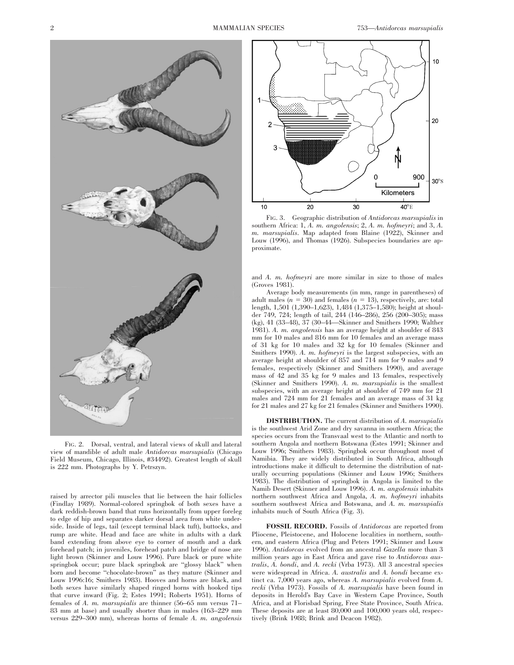

FIG. 2. Dorsal, ventral, and lateral views of skull and lateral view of mandible of adult male *Antidorcas marsupialis* (Chicago Field Museum, Chicago, Illinois, #34492). Greatest length of skull is 222 mm. Photographs by Y. Petrszyn.

raised by arrector pili muscles that lie between the hair follicles (Findlay 1989). Normal-colored springbok of both sexes have a dark reddish-brown band that runs horizontally from upper foreleg to edge of hip and separates darker dorsal area from white underside. Inside of legs, tail (except terminal black tuft), buttocks, and rump are white. Head and face are white in adults with a dark band extending from above eye to corner of mouth and a dark forehead patch; in juveniles, forehead patch and bridge of nose are light brown (Skinner and Louw 1996). Pure black or pure white springbok occur; pure black springbok are ''glossy black'' when born and become ''chocolate-brown'' as they mature (Skinner and Louw 1996:16; Smithers 1983). Hooves and horns are black, and both sexes have similarly shaped ringed horns with hooked tips that curve inward (Fig. 2; Estes 1991; Roberts 1951). Horns of females of *A. m. marsupialis* are thinner (56–65 mm versus 71– 83 mm at base) and usually shorter than in males (163–229 mm versus 229–300 mm), whereas horns of female *A. m. angolensis*



FIG. 3. Geographic distribution of *Antidorcas marsupialis* in southern Africa: 1, *A. m. angolensis*; 2, *A. m. hofmeyri*; and 3, *A. m. marsupialis*. Map adapted from Blaine (1922), Skinner and Louw (1996), and Thomas (1926). Subspecies boundaries are approximate.

and *A. m. hofmeyri* are more similar in size to those of males (Groves 1981).

Average body measurements (in mm, range in parentheses) of adult males  $(n = 30)$  and females  $(n = 13)$ , respectively, are: total length, 1,501 (1,390–1,623), 1,484 (1,375–1,580); height at shoulder 749, 724; length of tail, 244 (146–286), 256 (200–305); mass (kg), 41 (33–48), 37 (30–44—Skinner and Smithers 1990; Walther 1981). *A. m. angolensis* has an average height at shoulder of 843 mm for 10 males and 816 mm for 10 females and an average mass of 31 kg for 10 males and 32 kg for 10 females (Skinner and Smithers 1990). *A. m. hofmeyri* is the largest subspecies, with an average height at shoulder of 857 and 714 mm for 9 males and 9 females, respectively (Skinner and Smithers 1990), and average mass of 42 and 35 kg for 9 males and 13 females, respectively (Skinner and Smithers 1990). *A. m. marsupialis* is the smallest subspecies, with an average height at shoulder of 749 mm for 21 males and 724 mm for 21 females and an average mass of 31 kg for 21 males and 27 kg for 21 females (Skinner and Smithers 1990).

**DISTRIBUTION.** The current distribution of *A. marsupialis* is the southwest Arid Zone and dry savanna in southern Africa; the species occurs from the Transvaal west to the Atlantic and north to southern Angola and northern Botswana (Estes 1991; Skinner and Louw 1996; Smithers 1983). Springbok occur throughout most of Namibia. They are widely distributed in South Africa, although introductions make it difficult to determine the distribution of naturally occurring populations (Skinner and Louw 1996; Smithers 1983). The distribution of springbok in Angola is limited to the Namib Desert (Skinner and Louw 1996). *A. m. angolensis* inhabits northern southwest Africa and Angola, *A. m. hofmeyri* inhabits southern southwest Africa and Botswana, and *A. m. marsupialis* inhabits much of South Africa (Fig. 3).

**FOSSIL RECORD.** Fossils of *Antidorcas* are reported from Pliocene, Pleistocene, and Holocene localities in northern, southern, and eastern Africa (Plug and Peters 1991; Skinner and Louw 1996). *Antidorcas* evolved from an ancestral *Gazella* more than 3 million years ago in East Africa and gave rise to *Antidorcas australis*, *A. bondi*, and *A. recki* (Vrba 1973). All 3 ancestral species were widespread in Africa. *A. australis* and *A. bondi* became extinct ca. 7,000 years ago, whereas *A. marsupialis* evolved from *A. recki* (Vrba 1973). Fossils of *A. marsupialis* have been found in deposits in Herold's Bay Cave in Western Cape Province, South Africa, and at Florisbad Spring, Free State Province, South Africa. These deposits are at least 80,000 and 100,000 years old, respectively (Brink 1988; Brink and Deacon 1982).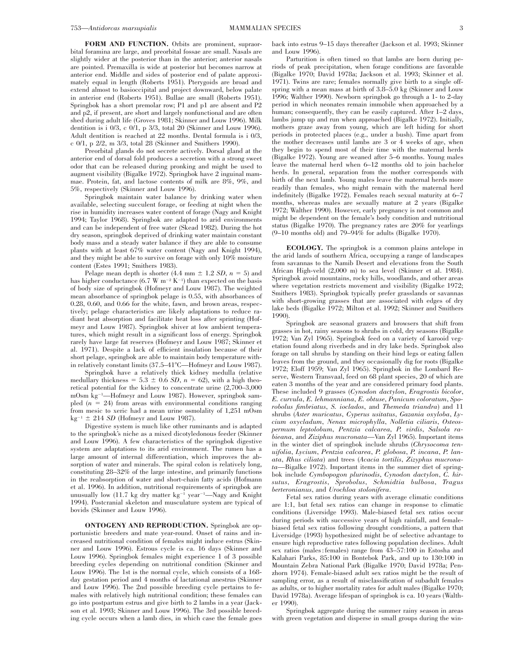**FORM AND FUNCTION.** Orbits are prominent, supraorbital foramina are large, and preorbital fossae are small. Nasals are slightly wider at the posterior than in the anterior; anterior nasals are pointed. Premaxilla is wide at posterior but becomes narrow at anterior end. Middle and sides of posterior end of palate approximately equal in length (Roberts 1951). Pterygoids are broad and extend almost to basioccipital and project downward, below palate in anterior end (Roberts 1951). Bullae are small (Roberts 1951). Springbok has a short premolar row; P1 and p1 are absent and P2 and p2, if present, are short and largely nonfunctional and are often shed during adult life (Groves 1981; Skinner and Louw 1996). Milk dentition is i 0/3, c 0/1, p 3/3, total 20 (Skinner and Louw 1996). Adult dentition is reached at 22 months. Dental formula is i 0/3, c 0/1, p 2/2, m 3/3, total 28 (Skinner and Smithers 1990).

Preorbital glands do not secrete actively. Dorsal gland at the anterior end of dorsal fold produces a secretion with a strong sweet odor that can be released during pronking and might be used to augment visibility (Bigalke 1972). Springbok have 2 inguinal mammae. Protein, fat, and lactose contents of milk are 8%, 9%, and 5%, respectively (Skinner and Louw 1996).

Springbok maintain water balance by drinking water when available, selecting succulent forage, or feeding at night when the rise in humidity increases water content of forage (Nagy and Knight 1994; Taylor 1968). Springbok are adapted to arid environments and can be independent of free water (Skead 1982). During the hot dry season, springbok deprived of drinking water maintain constant body mass and a steady water balance if they are able to consume plants with at least 67% water content (Nagy and Knight 1994), and they might be able to survive on forage with only 10% moisture content (Estes 1991; Smithers 1983).

Pelage mean depth is shorter  $(4.4 \text{ mm} \pm 1.2 \text{ SD}, n = 5)$  and has higher conductance  $(6.7 \text{ W m}^{-2} \text{ K}^{-1})$  than expected on the basis of body size of springbok (Hofmeyr and Louw 1987). The weighted mean absorbance of springbok pelage is 0.55, with absorbances of 0.28, 0.60, and 0.66 for the white, fawn, and brown areas, respectively; pelage characteristics are likely adaptations to reduce radiant heat absorption and facilitate heat loss after sprinting (Hofmeyr and Louw 1987). Springbok shiver at low ambient temperatures, which might result in a significant loss of energy. Springbok rarely have large fat reserves (Hofmeyr and Louw 1987; Skinner et al. 1971). Despite a lack of efficient insulation because of their short pelage, springbok are able to maintain body temperature within relatively constant limits (37.5–41°C—Hofmeyr and Louw 1987).

Springbok have a relatively thick kidney medulla (relative medullary thickness =  $5.3 \pm 0.6$  *SD*,  $n = 62$ ), with a high theoretical potential for the kidney to concentrate urine (2,700–3,000 mOsm kg<sup>-1</sup>—Hofmeyr and Louw 1987). However, springbok sampled  $(n = 24)$  from areas with environmental conditions ranging from mesic to xeric had a mean urine osmolality of 1,251 mOsm  $kg^{-1} \pm 214$  *SD* (Hofmeyr and Louw 1987).

Digestive system is much like other ruminants and is adapted to the springbok's niche as a mixed dicotyledonous feeder (Skinner and Louw 1996). A few characteristics of the springbok digestive system are adaptations to its arid environment. The rumen has a large amount of internal differentiation, which improves the absorption of water and minerals. The spiral colon is relatively long, constituting 28–32% of the large intestine, and primarily functions in the reabsorption of water and short-chain fatty acids (Hofmann et al. 1996). In addition, nutritional requirements of springbok are unusually low (11.7 kg dry matter kg<sup>-1</sup> year<sup>-1</sup>—Nagy and Knight 1994). Postcranial skeleton and musculature system are typical of bovids (Skinner and Louw 1996).

**ONTOGENY AND REPRODUCTION.** Springbok are opportunistic breeders and mate year-round. Onset of rains and increased nutritional condition of females might induce estrus (Skinner and Louw 1996). Estrous cycle is ca. 16 days (Skinner and Louw 1996). Springbok females might experience 1 of 3 possible breeding cycles depending on nutritional condition (Skinner and Louw 1996). The 1st is the normal cycle, which consists of a 168 day gestation period and 4 months of lactational anestrus (Skinner and Louw 1996). The 2nd possible breeding cycle pertains to females with relatively high nutritional condition; these females can go into postpartum estrus and give birth to 2 lambs in a year (Jackson et al. 1993; Skinner and Louw 1996). The 3rd possible breeding cycle occurs when a lamb dies, in which case the female goes

back into estrus 9–15 days thereafter (Jackson et al. 1993; Skinner and Louw 1996).

Parturition is often timed so that lambs are born during periods of peak precipitation, when forage conditions are favorable (Bigalke 1970; David 1978a; Jackson et al. 1993; Skinner et al. 1971). Twins are rare; females normally give birth to a single offspring with a mean mass at birth of 3.8–5.0 kg (Skinner and Louw 1996; Walther 1990). Newborn springbok go through a 1- to 2-day period in which neonates remain immobile when approached by a human; consequently, they can be easily captured. After  $1-2$  days, lambs jump up and run when approached (Bigalke 1972). Initially, mothers graze away from young, which are left hiding for short periods in protected places (e.g., under a bush). Time apart from the mother decreases until lambs are 3 or 4 weeks of age, when they begin to spend most of their time with the maternal herds (Bigalke 1972). Young are weaned after 5–6 months. Young males leave the maternal herd when 6–12 months old to join bachelor herds. In general, separation from the mother corresponds with birth of the next lamb. Young males leave the maternal herds more readily than females, who might remain with the maternal herd indefinitely (Bigalke 1972). Females reach sexual maturity at 6–7 months, whereas males are sexually mature at 2 years (Bigalke 1972; Walther 1990). However, early pregnancy is not common and might be dependent on the female's body condition and nutritional status (Bigalke 1970). The pregnancy rates are 20% for yearlings  $(9-10 \text{ months old})$  and  $79-94\%$  for adults (Bigalke 1970).

**ECOLOGY.** The springbok is a common plains antelope in the arid lands of southern Africa, occupying a range of landscapes from savannas to the Namib Desert and elevations from the South African High-veld (2,000 m) to sea level (Skinner et al. 1984). Springbok avoid mountains, rocky hills, woodlands, and other areas where vegetation restricts movement and visibility (Bigalke 1972; Smithers 1983). Springbok typically prefer grasslands or savannas with short-growing grasses that are associated with edges of dry lake beds (Bigalke 1972; Milton et al. 1992; Skinner and Smithers 1990).

Springbok are seasonal grazers and browsers that shift from grasses in hot, rainy seasons to shrubs in cold, dry seasons (Bigalke 1972; Van Zyl 1965). Springbok feed on a variety of karooid vegetation found along riverbeds and in dry lake beds. Springbok also forage on tall shrubs by standing on their hind legs or eating fallen leaves from the ground, and they occasionally dig for roots (Bigalke 1972; Eloff 1959; Van Zyl 1965). Springbok in the Lombard Reserve, Western Transvaal, feed on 68 plant species, 20 of which are eaten 3 months of the year and are considered primary food plants. These included 9 grasses (*Cynodon dactylon*, *Eragrostis bicolor*, *E. curvula*, *E. lehmanniana*, *E. obtuse*, *Panicum coloratum*, *Sporobolus fimbriatus*, *S. ioclados*, and *Themeda triandra*) and 11 shrubs (*Aster muricatus*, *Cyperus usitatus*, *Gazania oxyloba*, *Lycium oxycladum*, *Nenax microphylla*, *Nolletia ciliaris*, *Osteospermum leptolobum*, *Pentzia calcarea*, *P. virdis*, *Salsola rabieana*, and *Ziziphus mucronata*—Van Zyl 1965). Important items in the winter diet of springbok include shrubs (*Chrysocoma tenuifolia*, *Lycium*, *Pentzia calcarea*, *P. globosa*, *P. incana*, *P. lanata*, *Rhus ciliata*) and trees (*Acacia tortilis*, *Zizyphus mucronata*—Bigalke 1972). Important items in the summer diet of springbok include *Cymbopogon plurinodis*, *Cynodon dactylon*, *C. hirsutus*, *Eragrostis*, *Sprobolus*, *Schmidtia bulbosa*, *Tragus berteronianus*, and *Urochloa stolonifera*.

Fetal sex ratios during years with average climatic conditions are 1:1, but fetal sex ratios can change in response to climatic conditions (Liversidge 1993). Male-biased fetal sex ratios occur during periods with successive years of high rainfall, and femalebiased fetal sex ratios following drought conditions, a pattern that Liversidge (1993) hypothesized might be of selective advantage to ensure high reproductive rates following population declines. Adult sex ratios (males : females) range from 43–57:100 in Estosha and Kalahari Parks, 85:100 in Bontebok Park, and up to 130:100 in Mountain Zebra National Park (Bigalke 1970; David 1978a; Penzhorn 1974). Female-biased adult sex ratios might be the result of sampling error, as a result of misclassification of subadult females as adults, or to higher mortality rates for adult males (Bigalke 1970; David 1978a). Average lifespan of springbok is ca. 10 years (Walther 1990).

Springbok aggregate during the summer rainy season in areas with green vegetation and disperse in small groups during the win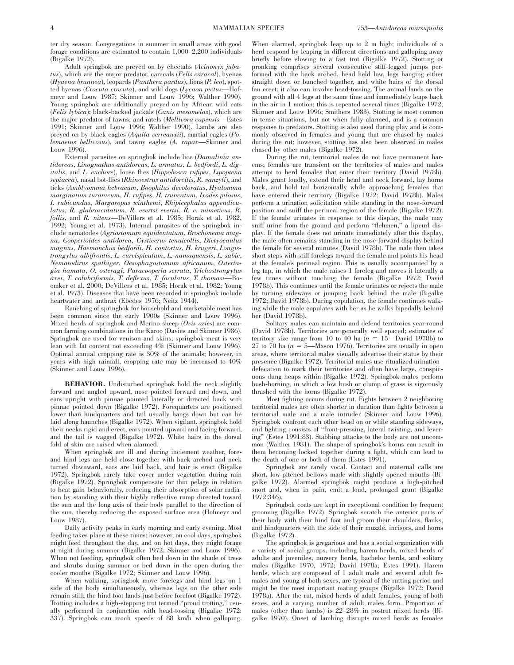ter dry season. Congregations in summer in small areas with good forage conditions are estimated to contain 1,000–2,200 individuals (Bigalke 1972).

Adult springbok are preyed on by cheetahs (*Acinonyx jubatus*), which are the major predator, caracals (*Felis caracal*), hyenas (*Hyaena brunnea*), leopards (*Panthera pardus*), lions (*P. leo*), spotted hyenas (*Crocuta crocuta*), and wild dogs (*Lycaon pictus*—Hofmeyr and Louw 1987; Skinner and Louw 1996; Walther 1990). Young springbok are additionally preyed on by African wild cats (*Felis lybica*); black-backed jackals (*Canis mesomelas*), which are the major predator of fawns; and ratels (*Mellivora capensis*—Estes 1991; Skinner and Louw 1996; Walther 1990). Lambs are also preyed on by black eagles (*Aquila verreauxii*), martial eagles (*Polemaetus bellicosus*), and tawny eagles (*A. rapax*—Skinner and Louw 1996).

External parasites on springbok include lice (*Damalinia antidorcas*, *Linognathus antidorcas*, *L. armatus*, *L. bedfordi*, *L. digitalis*, and *L. euchore*), louse flies (*Hippobosca rufipes*, *Lipoptena sepiacea*), nasal bot-flies (*Rhinoestrus antidorcitis*, *R. vanzyli*), and ticks (*Amblyomma hebraeum*, *Boophilus decoloratus*, *Hyalomma marginatum turanicum*, *H. rufipes*, *H. truncatum*, *Ixodes pilosus*, *I. rubicundus*, *Margaropus winthemi*, *Rhipicephalus appendiculatus*, *R. glabroscutatum*, *R. evertsi evertsi*, *R. e. mimeticus*, *R. follis*, and *R. nitens*—DeVillers et al. 1985; Horak et al. 1982, 1992; Young et al. 1973). Internal parasites of the springbok include nematodes (*Agriostomum equidentatum*, *Brochonema magna*, *Cooperioides antidorca*, *Cysticerus tenuicollis*, *Dictyocaulus magnus*, *Haemonchus bedfordi*, *H. contortus*, *H. krugeri*, *Longistrongylus albifrontis*, *L. curvispiculum*, *L. namaquensis*, *L. sabie*, *Nematodirus spathiger*, *Oesophagostomum africanum*, *Ostertagia hamata*, *O. osteragi*, *Paracooperia serrata*, *Trichostrongylus axei*, *T. colubriformis*, *T. deflexus*, *T. faculatus*, *T. thomasi*—Boomker et al. 2000; DeVillers et al. 1985; Horak et al. 1982; Young et al. 1973). Diseases that have been recorded in springbok include heartwater and anthrax (Ebedes 1976; Neitz 1944).

Ranching of springbok for household and marketable meat has been common since the early 1900s (Skinner and Louw 1996). Mixed herds of springbok and Merino sheep (*Ovis aries*) are common farming combinations in the Karoo (Davies and Skinner 1986). Springbok are used for venison and skins; springbok meat is very lean with fat content not exceeding 4% (Skinner and Louw 1996). Optimal annual cropping rate is 30% of the animals; however, in years with high rainfall, cropping rate may be increased to 40% (Skinner and Louw 1996).

**BEHAVIOR.** Undisturbed springbok hold the neck slightly forward and angled upward, nose pointed forward and down, and ears upright with pinnae pointed laterally or directed back with pinnae pointed down (Bigalke 1972). Forequarters are positioned lower than hindquarters and tail usually hangs down but can be laid along haunches (Bigalke 1972). When vigilant, springbok hold their necks rigid and erect, ears pointed upward and facing forward, and the tail is wagged (Bigalke 1972). White hairs in the dorsal fold of skin are raised when alarmed.

When springbok are ill and during inclement weather, foreand hind legs are held close together with back arched and neck turned downward, ears are laid back, and hair is erect (Bigalke 1972). Springbok rarely take cover under vegetation during rain (Bigalke 1972). Springbok compensate for thin pelage in relation to heat gain behaviorally, reducing their absorption of solar radiation by standing with their highly reflective rump directed toward the sun and the long axis of their body parallel to the direction of the sun, thereby reducing the exposed surface area (Hofmeyr and Louw 1987).

Daily activity peaks in early morning and early evening. Most feeding takes place at these times; however, on cool days, springbok might feed throughout the day, and on hot days, they might forage at night during summer (Bigalke 1972; Skinner and Louw 1996). When not feeding, springbok often bed down in the shade of trees and shrubs during summer or bed down in the open during the cooler months (Bigalke 1972; Skinner and Louw 1996).

When walking, springbok move forelegs and hind legs on 1 side of the body simultaneously, whereas legs on the other side remain still; the hind foot lands just before forefoot (Bigalke 1972). Trotting includes a high-stepping trot termed ''proud trotting,'' usually performed in conjunction with head-tossing (Bigalke 1972: 337). Springbok can reach speeds of 88 km/h when galloping. When alarmed, springbok leap up to 2 m high; individuals of a herd respond by leaping in different directions and galloping away briefly before slowing to a fast trot (Bigalke 1972). Stotting or pronking comprises several consecutive stiff-legged jumps performed with the back arched, head held low, legs hanging either straight down or bunched together, and white hairs of the dorsal fan erect; it also can involve head-tossing. The animal lands on the ground with all 4 legs at the same time and immediately leaps back in the air in 1 motion; this is repeated several times (Bigalke 1972; Skinner and Louw 1996; Smithers 1983). Stotting is most common in tense situations, but not when fully alarmed, and is a common response to predators. Stotting is also used during play and is commonly observed in females and young that are chased by males during the rut; however, stotting has also been observed in males chased by other males (Bigalke 1972).

During the rut, territorial males do not have permanent harems; females are transient on the territories of males and males attempt to herd females that enter their territory (David 1978b). Males grunt loudly, extend their head and neck forward, lay horns back, and hold tail horizontally while approaching females that have entered their territory (Bigalke 1972; David 1978b). Males perform a urination solicitation while standing in the nose-forward position and sniff the perineal region of the female (Bigalke 1972). If the female urinates in response to this display, the male may sniff urine from the ground and perform "flehmen," a lipcurl display. If the female does not urinate immediately after this display, the male often remains standing in the nose-forward display behind the female for several minutes (David 1978b). The male then takes short steps with stiff forelegs toward the female and points his head at the female's perineal region. This is usually accompanied by a leg tap, in which the male raises 1 foreleg and moves it laterally a few times without touching the female (Bigalke 1972; David 1978b). This continues until the female urinates or rejects the male by turning sideways or jumping back behind the male (Bigalke 1972; David 1978b). During copulation, the female continues walking while the male copulates with her as he walks bipedally behind her (David 1978b).

Solitary males can maintain and defend territories year-round (David 1978b). Territories are generally well spaced; estimates of territory size range from 10 to 40 ha  $(n = 15$ —David 1978b) to 27 to 70 ha  $(n = 5$ —Mason 1976). Territories are usually in open areas, where territorial males visually advertise their status by their presence (Bigalke 1972). Territorial males use ritualized urination– defecation to mark their territories and often have large, conspicuous dung heaps within (Bigalke 1972). Springbok males perform bush-horning, in which a low bush or clump of grass is vigorously thrashed with the horns (Bigalke 1972).

Most fighting occurs during rut. Fights between 2 neighboring territorial males are often shorter in duration than fights between a territorial male and a male intruder (Skinner and Louw 1996). Springbok confront each other head on or while standing sideways, and fighting consists of ''front-pressing, lateral twisting, and levering'' (Estes 1991:83). Stabbing attacks to the body are not uncommon (Walther 1981). The shape of springbok's horns can result in them becoming locked together during a fight, which can lead to the death of one or both of them (Estes 1991).

Springbok are rarely vocal. Contact and maternal calls are short, low-pitched bellows made with slightly opened mouths (Bigalke 1972). Alarmed springbok might produce a high-pitched snort and, when in pain, emit a loud, prolonged grunt (Bigalke 1972:346).

Springbok coats are kept in exceptional condition by frequent grooming (Bigalke 1972). Springbok scratch the anterior parts of their body with their hind foot and groom their shoulders, flanks, and hindquarters with the side of their muzzle, incisors, and horns (Bigalke 1972).

The springbok is gregarious and has a social organization with a variety of social groups, including harem herds, mixed herds of adults and juveniles, nursery herds, bachelor herds, and solitary males (Bigalke 1970, 1972; David 1978a; Estes 1991). Harem herds, which are composed of 1 adult male and several adult females and young of both sexes, are typical of the rutting period and might be the most important mating groups (Bigalke 1972; David 1978a). After the rut, mixed herds of adult females, young of both sexes, and a varying number of adult males form. Proportion of males (other than lambs) is 22–28% in postrut mixed herds (Bigalke 1970). Onset of lambing disrupts mixed herds as females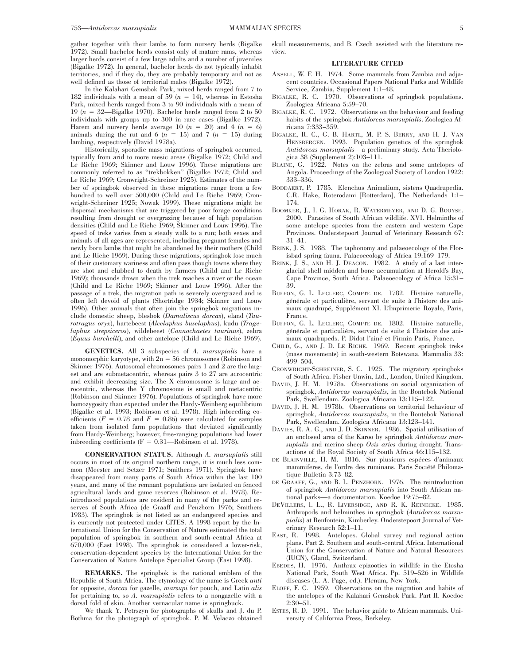gather together with their lambs to form nursery herds (Bigalke 1972). Small bachelor herds consist only of mature rams, whereas larger herds consist of a few large adults and a number of juveniles (Bigalke 1972). In general, bachelor herds do not typically inhabit territories, and if they do, they are probably temporary and not as well defined as those of territorial males (Bigalke 1972).

In the Kalahari Gemsbok Park, mixed herds ranged from 7 to 182 individuals with a mean of 59  $(n = 14)$ , whereas in Estosha Park, mixed herds ranged from 3 to 90 individuals with a mean of 19 ( $n = 32$ —Bigalke 1970). Bachelor herds ranged from 2 to 50 individuals with groups up to 300 in rare cases (Bigalke 1972). Harem and nursery herds average 10  $(n = 20)$  and 4  $(n = 6)$ animals during the rut and 6  $(n = 15)$  and 7  $(n = 15)$  during lambing, respectively (David 1978a).

Historically, sporadic mass migrations of springbok occurred, typically from arid to more mesic areas (Bigalke 1972; Child and Le Riche 1969; Skinner and Louw 1996). These migrations are commonly referred to as ''trekbokken'' (Bigalke 1972; Child and Le Riche 1969; Cronwright-Schreiner 1925). Estimates of the number of springbok observed in these migrations range from a few hundred to well over 500,000 (Child and Le Riche 1969; Cronwright-Schreiner 1925; Nowak 1999). These migrations might be dispersal mechanisms that are triggered by poor forage conditions resulting from drought or overgrazing because of high population densities (Child and Le Riche 1969; Skinner and Louw 1996). The speed of treks varies from a steady walk to a run; both sexes and animals of all ages are represented, including pregnant females and newly born lambs that might be abandoned by their mothers (Child and Le Riche 1969). During these migrations, springbok lose much of their customary wariness and often pass though towns where they are shot and clubbed to death by farmers (Child and Le Riche 1969); thousands drown when the trek reaches a river or the ocean (Child and Le Riche 1969; Skinner and Louw 1996). After the passage of a trek, the migration path is severely overgrazed and is often left devoid of plants (Shortridge 1934; Skinner and Louw 1996). Other animals that often join the springbok migrations include domestic sheep, blesbok (*Damaliscus dorcas*), eland (*Taurotragus oryx*), hartebeest (*Alcelaphus buselaphus*), kudu (*Tragelaphus strepsiceros*), wildebeest (*Connochaetes taurinus*), zebra (*Equus burchelli*), and other antelope (Child and Le Riche 1969).

**GENETICS.** All 3 subspecies of *A. marsupialis* have a monomorphic karyotype, with  $2n = 56$  chromosomes (Robinson and Skinner 1976). Autosomal chromosomes pairs 1 and 2 are the largest and are submetacentric, whereas pairs 3 to 27 are acrocentric and exhibit decreasing size. The X chromosome is large and acrocentric, whereas the Y chromosome is small and metacentric (Robinson and Skinner 1976). Populations of springbok have more homozygosity than expected under the Hardy-Weinberg equilibrium (Bigalke et al. 1993; Robinson et al. 1978). High inbreeding coefficients  $(F = 0.78$  and  $F = 0.86$ ) were calculated for samples taken from isolated farm populations that deviated significantly from Hardy-Weinberg; however, free-ranging populations had lower inbreeding coefficients ( $F = 0.31$ —Robinson et al. 1978).

**CONSERVATION STATUS.** Although *A. marsupialis* still occurs in most of its original northern range, it is much less common (Meester and Setzer 1971; Smithers 1971). Springbok have disappeared from many parts of South Africa within the last 100 years, and many of the remnant populations are isolated on fenced agricultural lands and game reserves (Robinson et al. 1978). Reintroduced populations are resident in many of the parks and reserves of South Africa (de Graaff and Penzhorn 1976; Smithers 1983). The springbok is not listed as an endangered species and is currently not protected under CITES. A 1998 report by the International Union for the Conservation of Nature estimated the total population of springbok in southern and south-central Africa at 670,000 (East 1998). The springbok is considered a lower-risk, conservation-dependent species by the International Union for the Conservation of Nature Antelope Specialist Group (East 1998).

**REMARKS.** The springbok is the national emblem of the Republic of South Africa. The etymology of the name is Greek *anti* for opposite, *dorcas* for gazelle, *marsupi* for pouch, and Latin *alis* for pertaining to, so *A. marsupialis* refers to a nongazelle with a dorsal fold of skin. Another vernacular name is springbuck.

We thank Y. Petrszyn for photographs of skulls and J. du P. Bothma for the photograph of springbok. P. M. Velaczo obtained skull measurements, and B. Czech assisted with the literature review.

#### **LITERATURE CITED**

- ANSELL, W. F. H. 1974. Some mammals from Zambia and adjacent countries. Occasional Papers National Parks and Wildlife Service, Zambia, Supplement 1:1–48.
- BIGALKE, R. C. 1970. Observations of springbok populations. Zoologica Africana 5:59–70.
- BIGALKE, R. C. 1972. Observations on the behaviour and feeding habits of the springbok *Antidorcas marsupialis*. Zoologica Africana 7:333–359.
- BIGALKE, R. C., G. B. HARTL, M. P. S. BERRY, AND H. J. VAN HENSBERGEN. 1993. Population genetics of the springbok *Antidorcas marsupialis*—a preliminary study. Acta Theriologica 38 (Supplement 2):103–111.
- BLAINE, G. 1922. Notes on the zebras and some antelopes of Angola. Proceedings of the Zoological Society of London 1922: 333–336.
- BODDAERT, P. 1785. Elenchus Animalium, sistens Quadrupedia. C.R. Hake, Roterodami [Rotterdam], The Netherlands 1:1– 174.
- BOOMKER, J., I. G. HORAK, R. WATERMEYER, AND D. G. BOOYSE. 2000. Parasites of South African wildlife. XVI. Helminths of some antelope species from the eastern and western Cape Provinces. Onderstepoort Journal of Veterinary Research 67: 31–41.
- BRINK, J. S. 1988. The taphonomy and palaeoecology of the Florisbad spring fauna. Palaeoecology of Africa 19:169–179.
- BRINK, J. S., AND H. J. DEACON. 1982. A study of a last interglacial shell midden and bone accumulation at Herold's Bay, Cape Province, South Africa. Palaeoecology of Africa 15:31– 39.
- BUFFON, G. L. LECLERC, COMPTE DE. 1782. Histoire naturelle, générale et particulière, servant de suite à l'histore des animaux quadrupé, Supplément XI. L'Imprimerie Royale, Paris, France.
- BUFFON, G. L. LECLERC, COMPTE DE. 1802. Histoire naturelle, générale et particuliére, servant de suite á l'histoire des animaux quadrupeds. P. Didot l'ainé et Firmin Paris, France.
- CHILD, G., AND J. D. LE RICHE. 1969. Recent springbok treks (mass movements) in south-western Botswana. Mammalia 33: 499–504.
- CRONWRIGHT-SCHREINER, S. C. 1925. The migratory springboks of South Africa. Fisher Unwin, Ltd., London, United Kingdom.
- DAVID, J. H. M. 1978a. Observations on social organization of springbok, *Antidorcas marsupialis*, in the Bontebok National Park, Swellendam. Zoologica Africana 13:115–122.
- DAVID, J. H. M. 1978b. Observations on territorial behaviour of springbok, *Antidorcas marsupialis*, in the Bontebok National Park, Swellendam. Zoologica Africana 13:123–141.
- DAVIES, R. A. G., AND J. D. SKINNER. 1986. Spatial utilisation of an enclosed area of the Karoo by springbok *Antidorcas marsupialis* and merino sheep *Ovis aries* during drought. Transactions of the Royal Society of South Africa 46:115–132.
- DE BLAINVILLE, H. M. 1816. Sur plusieurs espéces d'animaux mammiferes, de l'ordre des ruminans. Paris Société Philomatique Bulletin 3:73–82.
- DE GRAAFF, G., AND B. L. PENZHORN. 1976. The reintroduction of springbok *Antidorcas marsupialis* into South African national parks—a documentation. Koedoe 19:75–82.
- DEVILLERS, I. L., R. LIVERSIDGE, AND R. K. REINECKE. 1985. Arthropods and helminthes in springbok (*Antidorcas marsupialis*) at Benfontein, Kimberley. Onderstepoort Journal of Veterinary Research 52:1–11.
- EAST, R. 1998. Antelopes. Global survey and regional action plans. Part 2. Southern and south-central Africa. International Union for the Conservation of Nature and Natural Resources (IUCN), Gland, Switzerland.
- EBEDES, H. 1976. Anthrax epizootics in wildlife in the Etosha National Park, South West Africa. Pp. 519–526 in Wildlife diseases (L. A. Page, ed.). Plenum, New York.
- ELOFF, F. C. 1959. Observations on the migration and habits of the antelopes of the Kalahari Gemsbok Park. Part II. Koedoe 2:30–51.
- ESTES, R. D. 1991. The behavior guide to African mammals. University of California Press, Berkeley.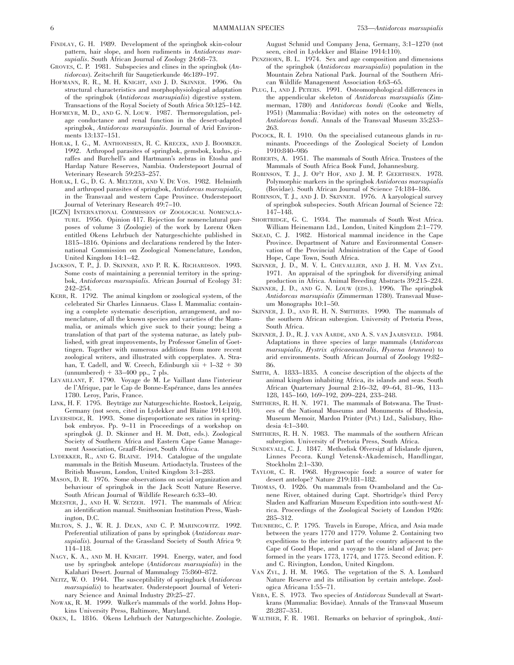- FINDLAY, G. H. 1989. Development of the springbok skin-colour pattern, hair slope, and horn rudiments in *Antidorcas marsupialis*. South African Journal of Zoology 24:68–73.
- GROVES, C. P. 1981. Subspecies and clines in the springbok (*An*tidorcas). Zeitschrift für Saugetierkunde 46:189-197.
- HOFMANN, R. R., M. H. KNIGHT, AND J. D. SKINNER. 1996. On structural characteristics and morphophysiological adaptation of the springbok (*Antidorcas marsupialis*) digestive system. Transactions of the Royal Society of South Africa 50:125–142.
- HOFMEYR, M. D., AND G. N. LOUW. 1987. Thermoregulation, pelage conductance and renal function in the desert-adapted springbok, *Antidorcas marsupialis*. Journal of Arid Environments 13:137–151.
- HORAK, I. G., M. ANTHONISSEN, R. C. KRECEK, AND J. BOOMKER. 1992. Arthropod parasites of springbok, gemsbok, kudus, giraffes and Burchell's and Hartmann's zebras in Etosha and Hardap Nature Reserves, Nambia. Onderstepoort Journal of Veterinary Research 59:253–257.
- HORAK, I. G., D. G. A. MELTZER, AND V. DE VOS. 1982. Helminth and arthropod parasites of springbok, *Antidorcas marsupialis*, in the Transvaal and western Cape Province. Onderstepoort Journal of Veterinary Research 49:7–10.
- [ICZN] INTERNATIONAL COMMISSION OF ZOOLOGICAL NOMENCLA-TURE. 1956. Opinion 417. Rejection for nomenclatural purposes of volume 3 (Zoologie) of the work by Lorenz Oken entitled Okens Lehrbuch der Naturgeschichte published in 1815–1816. Opinions and declarations rendered by the International Commission on Zoological Nomenclature, London, United Kingdom 14:1–42.
- JACKSON, T. P., J. D. SKINNER, AND P. R. K. RICHARDSON. 1993. Some costs of maintaining a perennial territory in the springbok, *Antidorcas marsupialis*. African Journal of Ecology 31: 242–254.
- KERR, R. 1792. The animal kingdom or zoological system, of the celebrated Sir Charles Linnaeus. Class I. Mammalia: containing a complete systematic description, arrangement, and nomenclature, of all the known species and varieties of the Mammalia, or animals which give suck to their young; being a translation of that part of the systema naturae, as lately published, with great improvements, by Professor Gmelin of Goettingen. Together with numerous additions from more recent zoological writers, and illustrated with copperplates. A. Strahan, T. Cadell, and W. Creech, Edinburgh xii  $+$  l–32  $+$  30  $(unnumbered) + 33–400$  pp., 7 pls.
- LEVAILLANT, F. 1790. Voyage de M. Le Vaillant dans l'interieur de l'Afrique, par le Cap de Bonne-Espérance, dans les années 1780. Leroy, Paris, France.
- LINK, H. F. 1795. Beyträge zur Naturgeschichte. Rostock, Leipzig, Germany (not seen, cited in Lydekker and Blaine 1914:110).
- LIVERSIDGE, R. 1993. Some disproportionate sex ratios in springbok embryos. Pp. 9–11 in Proceedings of a workshop on springbok (J. D. Skinner and H. M. Dott, eds.). Zoological Society of Southern Africa and Eastern Cape Game Management Association, Graaff-Reinet, South Africa.
- LYDEKKER, R., AND G. BLAINE. 1914. Catalogue of the ungulate mammals in the British Museum. Artiodactyla. Trustees of the British Museum, London, United Kingdom 3:1–283.
- MASON, D. R. 1976. Some observations on social organization and behaviour of springbok in the Jack Scott Nature Reserve. South African Journal of Wildlife Research 6:33–40.
- MEESTER, J., AND H. W. SETZER. 1971. The mammals of Africa: an identification manual. Smithsonian Institution Press, Washington, D.C.
- MILTON, S. J., W. R. J. DEAN, AND C. P. MARINCOWITZ. 1992. Preferential utilization of pans by springbok (*Antidorcas marsupialis*). Journal of the Grassland Society of South Africa 9: 114–118.
- NAGY, K. A., AND M. H. KNIGHT. 1994. Energy, water, and food use by springbok antelope (*Antidorcas marsupialis*) in the Kalahari Desert. Journal of Mammalogy 75:860–872.
- NEITZ, W. O. 1944. The susceptibility of springbuck (*Antidorcas marsupialis*) to heartwater. Onderstepoort Journal of Veterinary Science and Animal Industry 20:25–27.
- NOWAK, R. M. 1999. Walker's mammals of the world. Johns Hopkins University Press, Baltimore, Maryland.
- OKEN, L. 1816. Okens Lehrbuch der Naturgeschichte. Zoologie.

August Schmid und Company Jena, Germany, 3:1–1270 (not seen, cited in Lydekker and Blaine 1914:110).

- PENZHORN, B. L. 1974. Sex and age composition and dimensions of the springbok (*Antidorcas marsupialis*) population in the Mountain Zebra National Park. Journal of the Southern African Wildlife Management Association 4:63–65.
- PLUG, I., AND J. PETERS. 1991. Osteomorphological differences in the appendicular skeleton of *Antidorcas marsupialis* (Zimmerman, 1780) and *Antidorcas bondi* (Cooke and Wells, 1951) (Mammalia : Bovidae) with notes on the osteometry of *Antidorcas bondi*. Annals of the Transvaal Museum 35:253– 263.
- POCOCK, R. I. 1910. On the specialised cutaneous glands in ruminants. Proceedings of the Zoological Society of London 1910:840–986
- ROBERTS, A. 1951. The mammals of South Africa. Trustees of the Mammals of South Africa Book Fund, Johannesburg.
- ROBINSON, T. J., J. OP'T HOF, AND J. M. P. GEERTHSEN. 1978. Polymorphic markers in the springbok *Antidorcas marsupialis* (Bovidae). South African Journal of Science 74:184–186.
- ROBINSON, T. J., AND J. D. SKINNER. 1976. A karyological survey of springbok subspecies. South African Journal of Science 72: 147–148.
- SHORTRIDGE, G. C. 1934. The mammals of South West Africa. William Heinemann Ltd., London, United Kingdom 2:1–779.
- SKEAD, C. J. 1982. Historical mammal incidence in the Cape Province. Department of Nature and Environmental Conservation of the Provincial Administration of the Cape of Good Hope, Cape Town, South Africa.
- SKINNER, J. D., M. V. L. CHEVALLIER, AND J. H. M. VAN ZYL. 1971. An appraisal of the springbok for diversifying animal production in Africa. Animal Breeding Abstracts 39:215–224.
- SKINNER, J. D., AND G. N. LOUW (EDS.). 1996. The springbok *Antidorcas marsupialis* (Zimmerman 1780). Transvaal Museum Monographs 10:1–50.
- SKINNER, J. D., AND R. H. N. SMITHERS. 1990. The mammals of the southern African subregion. University of Pretoria Press, South Africa.
- SKINNER, J. D., R. J. VAN AARDE, AND A. S. VAN JAARSVELD. 1984. Adaptations in three species of large mammals (*Antidorcas marsupialis*, *Hystrix africaeaustralis*, *Hyaena brunnea*) to arid environments. South African Journal of Zoology 19:82– 86.
- SMITH, A. 1833–1835. A concise description of the objects of the animal kingdom inhabiting Africa, its islands and seas. South African Quarternary Journal 2:16–32, 49–64, 81–96, 113– 128, 145–160, 169–192, 209–224, 233–248.
- SMITHERS, R. H. N. 1971. The mammals of Botswana. The Trustees of the National Museums and Monuments of Rhodesia, Museum Memoir, Mardon Printer (Pvt.) Ltd., Salisbury, Rhodesia 4:1–340.
- SMITHERS, R. H. N. 1983. The mammals of the southern African subregion. University of Pretoria Press, South Africa.
- SUNDEVALL, C. J. 1847. Methodisk Ofversigt af Idislande djuren, Linnes Pecora. Kungl Vetensk-Akademisch, Handlingar, Stockholm 2:1–330.
- TAYLOR, C. R. 1968. Hygroscopic food: a source of water for desert antelope? Nature 219:181–182.
- THOMAS, O. 1926. On mammals from Ovamboland and the Cunene River, obtained during Capt. Shortridge's third Percy Sladen and Kaffrarian Museum Expedition into south-west Africa. Proceedings of the Zoological Society of London 1926: 285–312.
- THUNBERG, C. P. 1795. Travels in Europe, Africa, and Asia made between the years 1770 and 1779. Volume 2. Containing two expeditions to the interior part of the country adjacent to the Cape of Good Hope, and a voyage to the island of Java; performed in the years 1773, 1774, and 1775. Second edition. F. and C. Rivington, London, United Kingdom.
- VAN ZYL, J. H. M. 1965. The vegetation of the S. A. Lombard Nature Reserve and its utilisation by certain antelope. Zoologica Africana 1:55–71.
- VRBA, E. S. 1973. Two species of *Antidorcas* Sundevall at Swartkrans (Mammalia: Bovidae). Annals of the Transvaal Museum 28:287–351.
- WALTHER, F. R. 1981. Remarks on behavior of springbok, *Anti-*